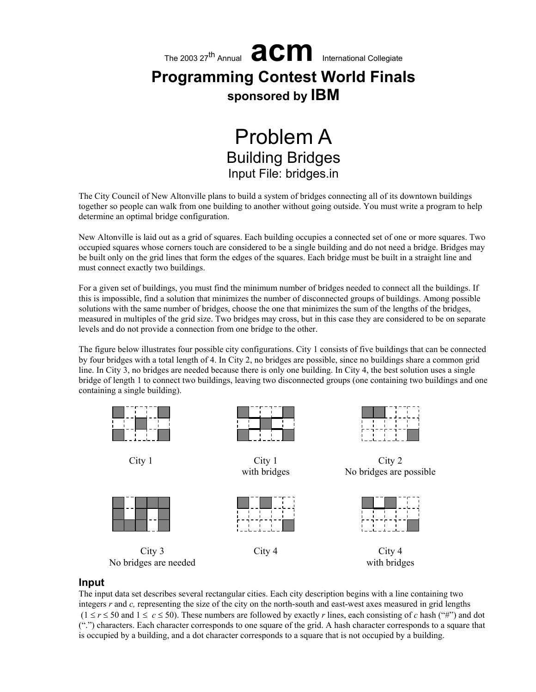

# Problem A Building Bridges Input File: bridges.in

The City Council of New Altonville plans to build a system of bridges connecting all of its downtown buildings together so people can walk from one building to another without going outside. You must write a program to help determine an optimal bridge configuration.

New Altonville is laid out as a grid of squares. Each building occupies a connected set of one or more squares. Two occupied squares whose corners touch are considered to be a single building and do not need a bridge. Bridges may be built only on the grid lines that form the edges of the squares. Each bridge must be built in a straight line and must connect exactly two buildings.

For a given set of buildings, you must find the minimum number of bridges needed to connect all the buildings. If this is impossible, find a solution that minimizes the number of disconnected groups of buildings. Among possible solutions with the same number of bridges, choose the one that minimizes the sum of the lengths of the bridges, measured in multiples of the grid size. Two bridges may cross, but in this case they are considered to be on separate levels and do not provide a connection from one bridge to the other.

The figure below illustrates four possible city configurations. City 1 consists of five buildings that can be connected by four bridges with a total length of 4. In City 2, no bridges are possible, since no buildings share a common grid line. In City 3, no bridges are needed because there is only one building. In City 4, the best solution uses a single bridge of length 1 to connect two buildings, leaving two disconnected groups (one containing two buildings and one containing a single building).



#### **Input**

The input data set describes several rectangular cities. Each city description begins with a line containing two integers *r* and *c,* representing the size of the city on the north-south and east-west axes measured in grid lengths  $(1 \le r \le 50$  and  $1 \le c \le 50$ ). These numbers are followed by exactly *r* lines, each consisting of *c* hash ("#") and dot (".") characters. Each character corresponds to one square of the grid. A hash character corresponds to a square that is occupied by a building, and a dot character corresponds to a square that is not occupied by a building.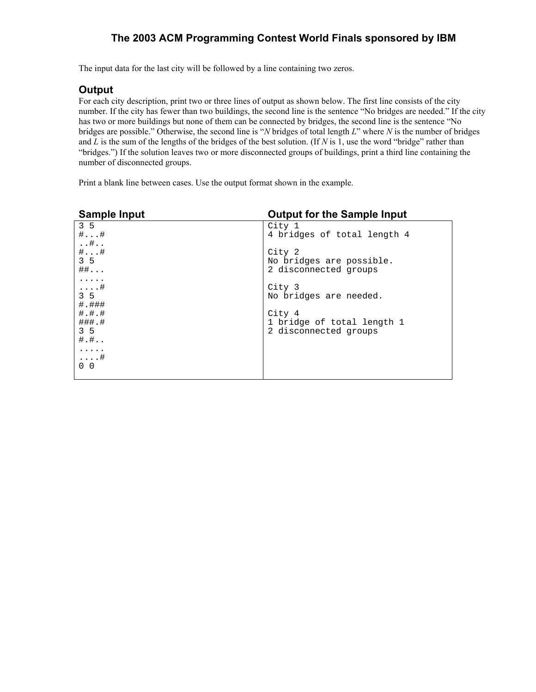The input data for the last city will be followed by a line containing two zeros.

### **Output**

For each city description, print two or three lines of output as shown below. The first line consists of the city number. If the city has fewer than two buildings, the second line is the sentence "No bridges are needed." If the city has two or more buildings but none of them can be connected by bridges, the second line is the sentence "No bridges are possible." Otherwise, the second line is "*N* bridges of total length *L*" where *N* is the number of bridges and  $\overline{L}$  is the sum of the lengths of the bridges of the best solution. (If  $N$  is 1, use the word "bridge" rather than "bridges.") If the solution leaves two or more disconnected groups of buildings, print a third line containing the number of disconnected groups.

Print a blank line between cases. Use the output format shown in the example.

| <b>Sample Input</b>                                    | <b>Output for the Sample Input</b>                            |
|--------------------------------------------------------|---------------------------------------------------------------|
| $3\overline{5}$<br>$\# \ldots \#$                      | City 1<br>4 bridges of total length 4                         |
| $\dots$ #<br># #<br>3 <sub>5</sub><br>$\#$ $\#$        | City 2<br>No bridges are possible.<br>2 disconnected groups   |
| $\ldots$ #<br>35<br>#.###                              | City 3<br>No bridges are needed.                              |
| $\# . \# . \#$<br>###.#<br>3 <sub>5</sub><br>$\# . \#$ | City 4<br>1 bridge of total length 1<br>2 disconnected groups |
| .<br>. #<br>0 <sub>0</sub>                             |                                                               |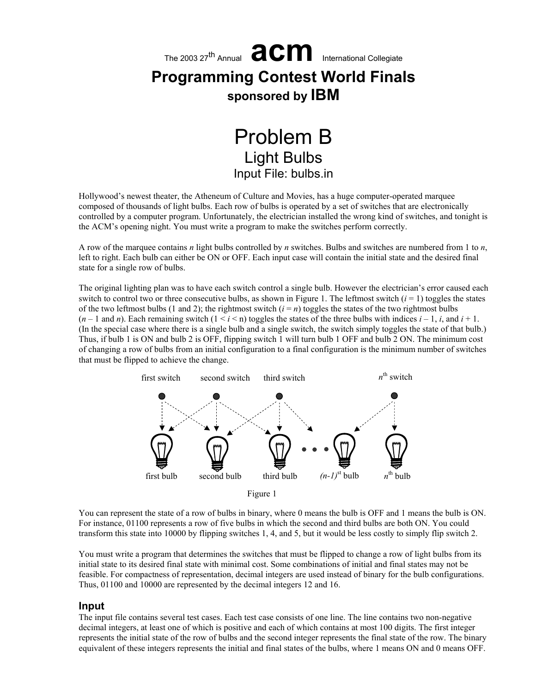

# Problem B Light Bulbs Input File: bulbs.in

Hollywood's newest theater, the Atheneum of Culture and Movies, has a huge computer-operated marquee composed of thousands of light bulbs. Each row of bulbs is operated by a set of switches that are electronically controlled by a computer program. Unfortunately, the electrician installed the wrong kind of switches, and tonight is the ACM's opening night. You must write a program to make the switches perform correctly.

A row of the marquee contains *n* light bulbs controlled by *n* switches. Bulbs and switches are numbered from 1 to *n*, left to right. Each bulb can either be ON or OFF. Each input case will contain the initial state and the desired final state for a single row of bulbs.

The original lighting plan was to have each switch control a single bulb. However the electrician's error caused each switch to control two or three consecutive bulbs, as shown in Figure 1. The leftmost switch  $(i = 1)$  toggles the states of the two leftmost bulbs (1 and 2); the rightmost switch  $(i = n)$  toggles the states of the two rightmost bulbs  $(n-1)$  and *n*). Each remaining switch  $(1 \le i \le n)$  toggles the states of the three bulbs with indices  $i-1$ , *i*, and  $i+1$ . (In the special case where there is a single bulb and a single switch, the switch simply toggles the state of that bulb.) Thus, if bulb 1 is ON and bulb 2 is OFF, flipping switch 1 will turn bulb 1 OFF and bulb 2 ON. The minimum cost of changing a row of bulbs from an initial configuration to a final configuration is the minimum number of switches that must be flipped to achieve the change.



You can represent the state of a row of bulbs in binary, where 0 means the bulb is OFF and 1 means the bulb is ON. For instance, 01100 represents a row of five bulbs in which the second and third bulbs are both ON. You could transform this state into 10000 by flipping switches 1, 4, and 5, but it would be less costly to simply flip switch 2.

You must write a program that determines the switches that must be flipped to change a row of light bulbs from its initial state to its desired final state with minimal cost. Some combinations of initial and final states may not be feasible. For compactness of representation, decimal integers are used instead of binary for the bulb configurations. Thus, 01100 and 10000 are represented by the decimal integers 12 and 16.

#### **Input**

The input file contains several test cases. Each test case consists of one line. The line contains two non-negative decimal integers, at least one of which is positive and each of which contains at most 100 digits. The first integer represents the initial state of the row of bulbs and the second integer represents the final state of the row. The binary equivalent of these integers represents the initial and final states of the bulbs, where 1 means ON and 0 means OFF.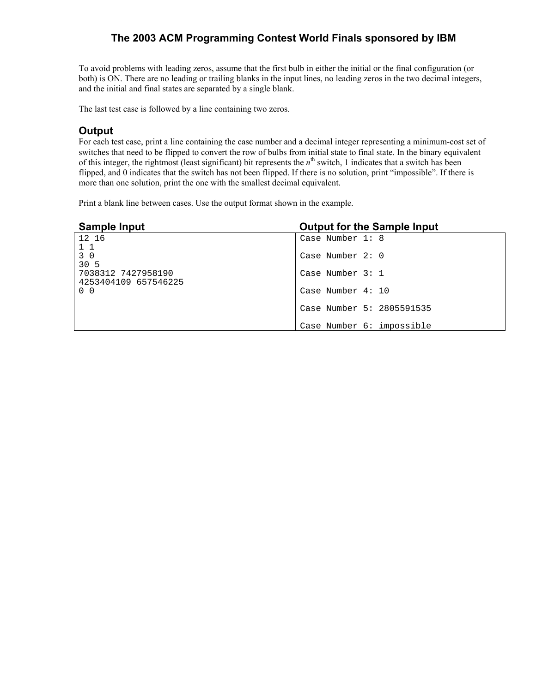To avoid problems with leading zeros, assume that the first bulb in either the initial or the final configuration (or both) is ON. There are no leading or trailing blanks in the input lines, no leading zeros in the two decimal integers, and the initial and final states are separated by a single blank.

The last test case is followed by a line containing two zeros.

### **Output**

For each test case, print a line containing the case number and a decimal integer representing a minimum-cost set of switches that need to be flipped to convert the row of bulbs from initial state to final state. In the binary equivalent of this integer, the rightmost (least significant) bit represents the  $n<sup>th</sup>$  switch, 1 indicates that a switch has been flipped, and 0 indicates that the switch has not been flipped. If there is no solution, print "impossible". If there is more than one solution, print the one with the smallest decimal equivalent.

Print a blank line between cases. Use the output format shown in the example.

| <b>Sample Input</b>                    | <b>Output for the Sample Input</b> |
|----------------------------------------|------------------------------------|
| 12 16                                  | Case Number $1:8$                  |
| 11<br>30<br>30 5                       | Case Number $2:0$                  |
| 7038312 7427958190                     | Case Number $3:1$                  |
| 4253404109 657546225<br>0 <sub>0</sub> | Case Number 4: 10                  |
|                                        | Case Number 5: 2805591535          |
|                                        | Case Number 6: impossible          |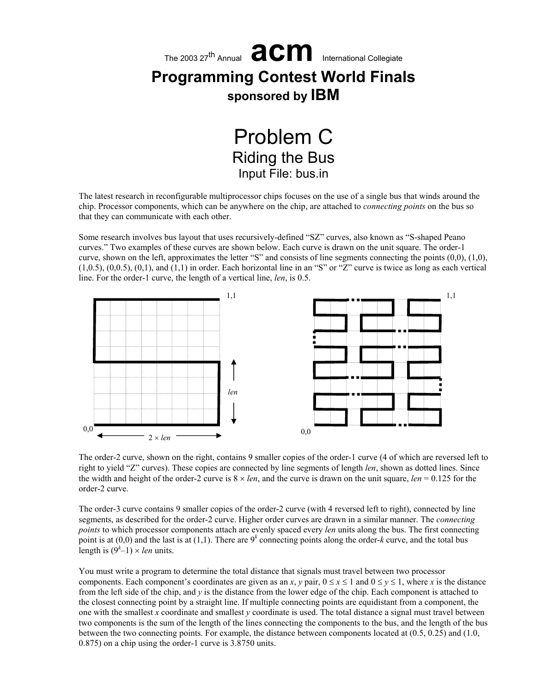

## Problem C Riding the Bus Input File: bus.in

The latest research in reconfigurable multiprocessor chips focuses on the use of a single bus that winds around the chip. Processor components, which can be anywhere on the chip, are attached to *connecting points* on the bus so that they can communicate with each other.

Some research involves bus layout that uses recursively-defined "SZ" curves, also known as "S-shaped Peano curves." Two examples of these curves are shown below. Each curve is drawn on the unit square. The order-1 curve, shown on the left, approximates the letter "S" and consists of line segments connecting the points  $(0,0)$ ,  $(1,0)$ ,  $(1,0.5)$ ,  $(0,0.5)$ ,  $(0,1)$ , and  $(1,1)$  in order. Each horizontal line in an "S" or "Z" curve is twice as long as each vertical line. For the order-1 curve, the length of a vertical line, *len*, is 0.5.



The order-2 curve, shown on the right, contains 9 smaller copies of the order-1 curve (4 of which are reversed left to right to yield "Z" curves). These copies are connected by line segments of length *len*, shown as dotted lines. Since the width and height of the order-2 curve is  $8 \times len$ , and the curve is drawn on the unit square,  $len = 0.125$  for the order-2 curve.

The order-3 curve contains 9 smaller copies of the order-2 curve (with 4 reversed left to right), connected by line segments, as described for the order-2 curve. Higher order curves are drawn in a similar manner. The *connecting points* to which processor components attach are evenly spaced every *len* units along the bus. The first connecting point is at  $(0,0)$  and the last is at  $(1,1)$ . There are  $9^k$  connecting points along the order-*k* curve, and the total bus length is  $(9<sup>k</sup>-1) \times len$  units.

You must write a program to determine the total distance that signals must travel between two processor components. Each component's coordinates are given as an *x*, *y* pair,  $0 \le x \le 1$  and  $0 \le y \le 1$ , where *x* is the distance from the left side of the chip, and *y* is the distance from the lower edge of the chip. Each component is attached to the closest connecting point by a straight line. If multiple connecting points are equidistant from a component, the one with the smallest *x* coordinate and smallest *y* coordinate is used. The total distance a signal must travel between two components is the sum of the length of the lines connecting the components to the bus, and the length of the bus between the two connecting points. For example, the distance between components located at (0.5, 0.25) and (1.0, 0.875) on a chip using the order-1 curve is 3.8750 units.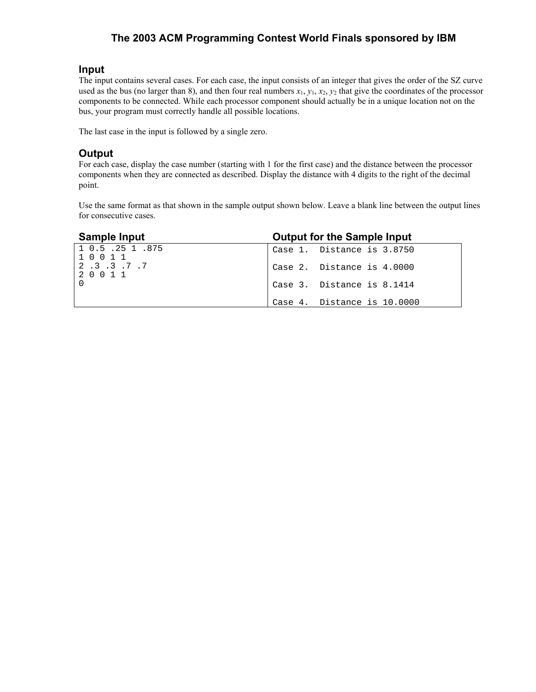#### **Input**

The input contains several cases. For each case, the input consists of an integer that gives the order of the SZ curve used as the bus (no larger than 8), and then four real numbers  $x_1, y_1, x_2, y_2$  that give the coordinates of the processor components to be connected. While each processor component should actually be in a unique location not on the bus, your program must correctly handle all possible locations.

The last case in the input is followed by a single zero.

### **Output**

For each case, display the case number (starting with 1 for the first case) and the distance between the processor components when they are connected as described. Display the distance with 4 digits to the right of the decimal point.

Use the same format as that shown in the sample output shown below. Leave a blank line between the output lines for consecutive cases.

### **Sample Input Community Contract Contract Contract Contract Contract Contract Contract Contract Contract Contract Contract Contract Contract Contract Contract Contract Contract Contract Contract Contract Contract Contract**

| 1 0.5 .25 1 .875<br>10011 | Case 1. Distance is 3.8750  |
|---------------------------|-----------------------------|
| 2.3.3.7.7<br>20011        | Case 2. Distance is 4.0000  |
|                           | Case 3. Distance is 8.1414  |
|                           | Case 4. Distance is 10.0000 |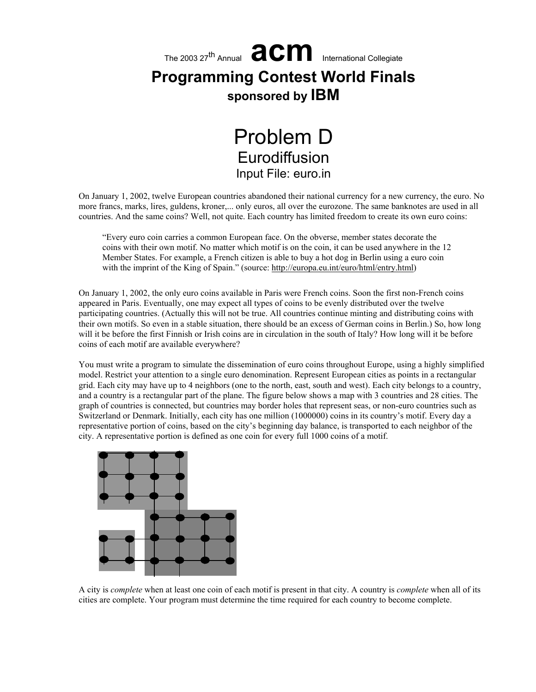

# Problem D **Eurodiffusion** Input File: euro.in

On January 1, 2002, twelve European countries abandoned their national currency for a new currency, the euro. No more francs, marks, lires, guldens, kroner,... only euros, all over the eurozone. The same banknotes are used in all countries. And the same coins? Well, not quite. Each country has limited freedom to create its own euro coins:

"Every euro coin carries a common European face. On the obverse, member states decorate the coins with their own motif. No matter which motif is on the coin, it can be used anywhere in the 12 Member States. For example, a French citizen is able to buy a hot dog in Berlin using a euro coin with the imprint of the King of Spain." (source: <http://europa.eu.int/euro/html>/entry.html)

On January 1, 2002, the only euro coins available in Paris were French coins. Soon the first non-French coins appeared in Paris. Eventually, one may expect all types of coins to be evenly distributed over the twelve participating countries. (Actually this will not be true. All countries continue minting and distributing coins with their own motifs. So even in a stable situation, there should be an excess of German coins in Berlin.) So, how long will it be before the first Finnish or Irish coins are in circulation in the south of Italy? How long will it be before coins of each motif are available everywhere?

You must write a program to simulate the dissemination of euro coins throughout Europe, using a highly simplified model. Restrict your attention to a single euro denomination. Represent European cities as points in a rectangular grid. Each city may have up to 4 neighbors (one to the north, east, south and west). Each city belongs to a country, and a country is a rectangular part of the plane. The figure below shows a map with 3 countries and 28 cities. The graph of countries is connected, but countries may border holes that represent seas, or non-euro countries such as Switzerland or Denmark. Initially, each city has one million (1000000) coins in its country's motif. Every day a representative portion of coins, based on the city's beginning day balance, is transported to each neighbor of the city. A representative portion is defined as one coin for every full 1000 coins of a motif.



A city is *complete* when at least one coin of each motif is present in that city. A country is *complete* when all of its cities are complete. Your program must determine the time required for each country to become complete.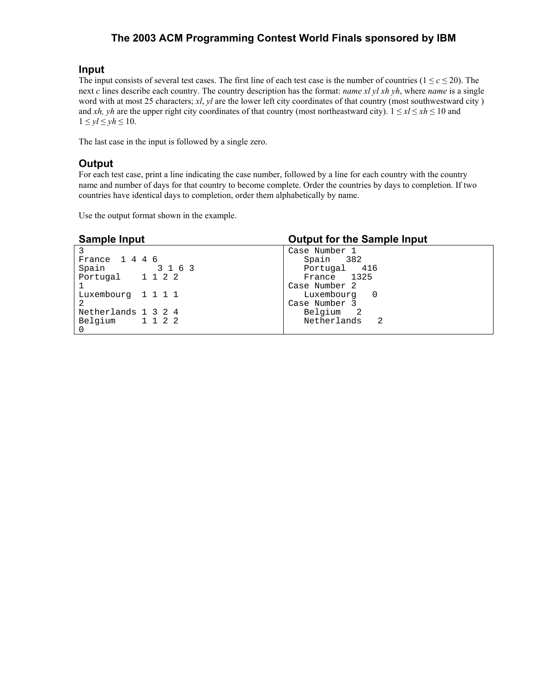### **Input**

The input consists of several test cases. The first line of each test case is the number of countries  $(1 \le c \le 20)$ . The next *c* lines describe each country. The country description has the format: *name xl yl xh yh*, where *name* is a single word with at most 25 characters; *xl*, *yl* are the lower left city coordinates of that country (most southwestward city ) and *xh, yh* are the upper right city coordinates of that country (most northeastward city).  $1 \le x \le xh \le 10$  and  $1 \leq v \leq v \leq 10$ .

The last case in the input is followed by a single zero.

### **Output**

For each test case, print a line indicating the case number, followed by a line for each country with the country name and number of days for that country to become complete. Order the countries by days to completion. If two countries have identical days to completion, order them alphabetically by name.

Use the output format shown in the example.

### **Sample Input Output for the Sample Input**

| 3                   | Case Number 1     |  |
|---------------------|-------------------|--|
| France $1446$       | Spain 382         |  |
| Spain $3\ 1\ 6\ 3$  | Portugal 416      |  |
| Portugal 1122       | France 1325       |  |
|                     | Case Number 2     |  |
| Luxembourg 1 1 1 1  | Luxembourg 0      |  |
| 2                   | Case Number 3     |  |
| Netherlands 1 3 2 4 | Belgium 2         |  |
| Belgium 1 1 2 2     | Netherlands<br>-2 |  |
| $\Omega$            |                   |  |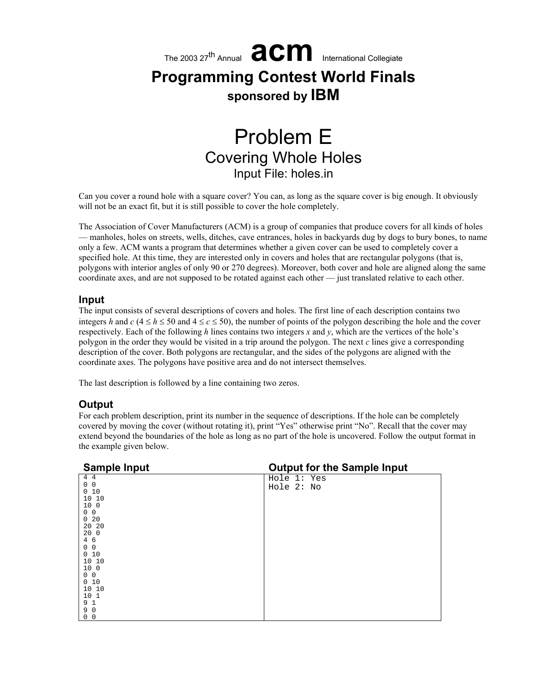

### **Programming Contest World Finals sponsored by IBM**

# Problem E Covering Whole Holes Input File: holes.in

Can you cover a round hole with a square cover? You can, as long as the square cover is big enough. It obviously will not be an exact fit, but it is still possible to cover the hole completely.

The Association of Cover Manufacturers (ACM) is a group of companies that produce covers for all kinds of holes — manholes, holes on streets, wells, ditches, cave entrances, holes in backyards dug by dogs to bury bones, to name only a few. ACM wants a program that determines whether a given cover can be used to completely cover a specified hole. At this time, they are interested only in covers and holes that are rectangular polygons (that is, polygons with interior angles of only 90 or 270 degrees). Moreover, both cover and hole are aligned along the same coordinate axes, and are not supposed to be rotated against each other — just translated relative to each other.

#### **Input**

The input consists of several descriptions of covers and holes. The first line of each description contains two integers *h* and  $c$  ( $4 \le h \le 50$  and  $4 \le c \le 50$ ), the number of points of the polygon describing the hole and the cover respectively. Each of the following *h* lines contains two integers *x* and  $y$ , which are the vertices of the hole's polygon in the order they would be visited in a trip around the polygon. The next *c* lines give a corresponding description of the cover. Both polygons are rectangular, and the sides of the polygons are aligned with the coordinate axes. The polygons have positive area and do not intersect themselves.

The last description is followed by a line containing two zeros.

#### **Output**

For each problem description, print its number in the sequence of descriptions. If the hole can be completely covered by moving the cover (without rotating it), print "Yes" otherwise print "No". Recall that the cover may extend beyond the boundaries of the hole as long as no part of the hole is uncovered. Follow the output format in the example given below.

| <b>Sample Input</b> | <b>Output for the Sample Input</b> |
|---------------------|------------------------------------|
| 4 4                 | Hole 1: Yes                        |
| 0 <sub>0</sub>      | Hole 2: No                         |
| 010                 |                                    |
| 10 10               |                                    |
| 10 <sub>0</sub>     |                                    |
| 0 <sub>0</sub>      |                                    |
| 020                 |                                    |
| 20 20               |                                    |
| 200                 |                                    |
| 4 6                 |                                    |
| $\overline{0}$<br>0 |                                    |
| 010                 |                                    |
| 10 10               |                                    |
| 10 0                |                                    |
| 0 <sub>0</sub>      |                                    |
| 010                 |                                    |
| 10 10               |                                    |
| 10 <sub>1</sub>     |                                    |
| 91                  |                                    |
| 9 0                 |                                    |
| 0 <sub>0</sub>      |                                    |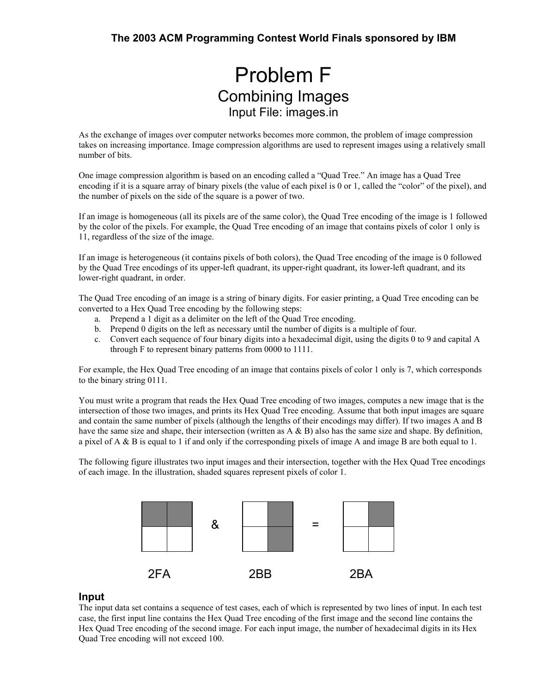# Problem F Combining Images Input File: images.in

As the exchange of images over computer networks becomes more common, the problem of image compression takes on increasing importance. Image compression algorithms are used to represent images using a relatively small number of bits.

One image compression algorithm is based on an encoding called a "Quad Tree." An image has a Quad Tree encoding if it is a square array of binary pixels (the value of each pixel is 0 or 1, called the "color" of the pixel), and the number of pixels on the side of the square is a power of two.

If an image is homogeneous (all its pixels are of the same color), the Quad Tree encoding of the image is 1 followed by the color of the pixels. For example, the Quad Tree encoding of an image that contains pixels of color 1 only is 11, regardless of the size of the image.

If an image is heterogeneous (it contains pixels of both colors), the Quad Tree encoding of the image is 0 followed by the Quad Tree encodings of its upper-left quadrant, its upper-right quadrant, its lower-left quadrant, and its lower-right quadrant, in order.

The Quad Tree encoding of an image is a string of binary digits. For easier printing, a Quad Tree encoding can be converted to a Hex Quad Tree encoding by the following steps:

- a. Prepend a 1 digit as a delimiter on the left of the Quad Tree encoding.
- b. Prepend 0 digits on the left as necessary until the number of digits is a multiple of four.
- c. Convert each sequence of four binary digits into a hexadecimal digit, using the digits 0 to 9 and capital A through F to represent binary patterns from 0000 to 1111.

For example, the Hex Quad Tree encoding of an image that contains pixels of color 1 only is 7, which corresponds to the binary string 0111.

You must write a program that reads the Hex Quad Tree encoding of two images, computes a new image that is the intersection of those two images, and prints its Hex Quad Tree encoding. Assume that both input images are square and contain the same number of pixels (although the lengths of their encodings may differ). If two images A and B have the same size and shape, their intersection (written as  $A \& B$ ) also has the same size and shape. By definition, a pixel of A & B is equal to 1 if and only if the corresponding pixels of image A and image B are both equal to 1.

The following figure illustrates two input images and their intersection, together with the Hex Quad Tree encodings of each image. In the illustration, shaded squares represent pixels of color 1.



#### **Input**

The input data set contains a sequence of test cases, each of which is represented by two lines of input. In each test case, the first input line contains the Hex Quad Tree encoding of the first image and the second line contains the Hex Quad Tree encoding of the second image. For each input image, the number of hexadecimal digits in its Hex Quad Tree encoding will not exceed 100.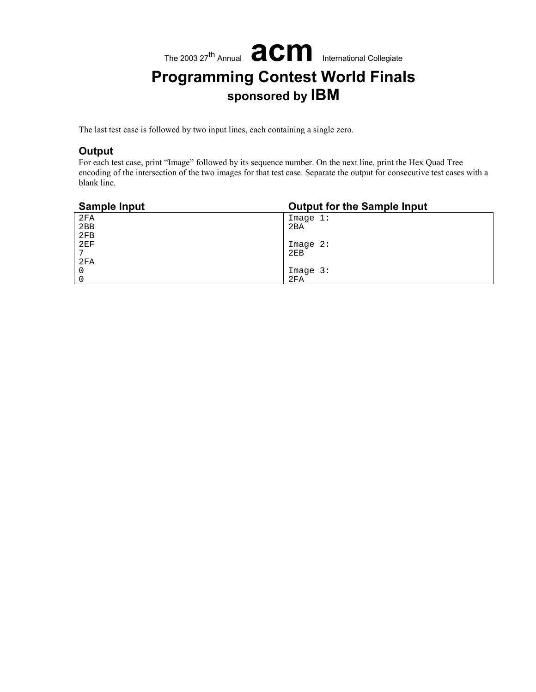# The 2003 27<sup>th</sup> Annual **and COM** International Collegiate **Programming Contest World Finals sponsored by IBM**

The last test case is followed by two input lines, each containing a single zero.

### **Output**

For each test case, print "Image" followed by its sequence number. On the next line, print the Hex Quad Tree encoding of the intersection of the two images for that test case. Separate the output for consecutive test cases with a blank line.

| <b>Sample Input</b> | <b>Output for the Sample Input</b> |
|---------------------|------------------------------------|
| 2FA                 | Image 1:                           |
| 2BB                 | 2BA                                |
| 2FB                 |                                    |
| 2EF                 | Image $2$ :                        |
| 7                   | 2EB                                |
| 2FA                 |                                    |
| $\overline{0}$      | Image 3:                           |
| $\Omega$            | 2FA                                |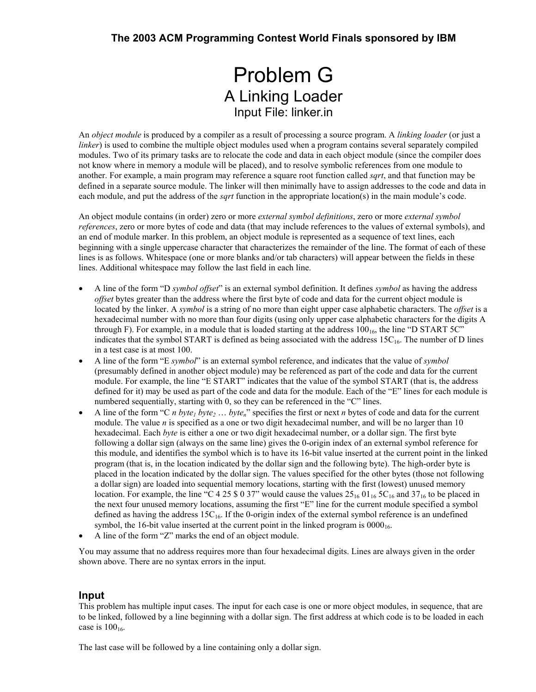# Problem G A Linking Loader Input File: linker.in

An *object module* is produced by a compiler as a result of processing a source program. A *linking loader* (or just a *linker*) is used to combine the multiple object modules used when a program contains several separately compiled modules. Two of its primary tasks are to relocate the code and data in each object module (since the compiler does not know where in memory a module will be placed), and to resolve symbolic references from one module to another. For example, a main program may reference a square root function called *sqrt*, and that function may be defined in a separate source module. The linker will then minimally have to assign addresses to the code and data in each module, and put the address of the *sqrt* function in the appropriate location(s) in the main module's code.

An object module contains (in order) zero or more *external symbol definitions*, zero or more *external symbol references*, zero or more bytes of code and data (that may include references to the values of external symbols), and an end of module marker. In this problem, an object module is represented as a sequence of text lines, each beginning with a single uppercase character that characterizes the remainder of the line. The format of each of these lines is as follows. Whitespace (one or more blanks and/or tab characters) will appear between the fields in these lines. Additional whitespace may follow the last field in each line.

- A line of the form "D *symbol offset*" is an external symbol definition. It defines *symbol* as having the address *offset* bytes greater than the address where the first byte of code and data for the current object module is located by the linker. A *symbol* is a string of no more than eight upper case alphabetic characters. The *offset* is a hexadecimal number with no more than four digits (using only upper case alphabetic characters for the digits A through F). For example, in a module that is loaded starting at the address  $100<sub>16</sub>$ , the line "D START 5C" indicates that the symbol START is defined as being associated with the address  $15C_{16}$ . The number of D lines in a test case is at most 100.
- A line of the form "E *symbol*" is an external symbol reference, and indicates that the value of *symbol* (presumably defined in another object module) may be referenced as part of the code and data for the current module. For example, the line "E START" indicates that the value of the symbol START (that is, the address defined for it) may be used as part of the code and data for the module. Each of the "E" lines for each module is numbered sequentially, starting with 0, so they can be referenced in the "C" lines.
- A line of the form "C *n byte<sub>1</sub> byte<sub>2</sub>* ... *byte<sub>n</sub>*" specifies the first or next *n* bytes of code and data for the current module. The value *n* is specified as a one or two digit hexadecimal number, and will be no larger than 10 hexadecimal. Each *byte* is either a one or two digit hexadecimal number, or a dollar sign. The first byte following a dollar sign (always on the same line) gives the 0-origin index of an external symbol reference for this module, and identifies the symbol which is to have its 16-bit value inserted at the current point in the linked program (that is, in the location indicated by the dollar sign and the following byte). The high-order byte is placed in the location indicated by the dollar sign. The values specified for the other bytes (those not following a dollar sign) are loaded into sequential memory locations, starting with the first (lowest) unused memory location. For example, the line "C 4 25 \$ 0 37" would cause the values  $25_{16}$  01<sub>16</sub> 5C<sub>16</sub> and 37<sub>16</sub> to be placed in the next four unused memory locations, assuming the first "E" line for the current module specified a symbol defined as having the address  $15C_{16}$ . If the 0-origin index of the external symbol reference is an undefined symbol, the 16-bit value inserted at the current point in the linked program is  $0000_{16}$ .
- A line of the form "Z" marks the end of an object module.

You may assume that no address requires more than four hexadecimal digits. Lines are always given in the order shown above. There are no syntax errors in the input.

#### **Input**

This problem has multiple input cases. The input for each case is one or more object modules, in sequence, that are to be linked, followed by a line beginning with a dollar sign. The first address at which code is to be loaded in each case is  $100_{16}$ .

The last case will be followed by a line containing only a dollar sign.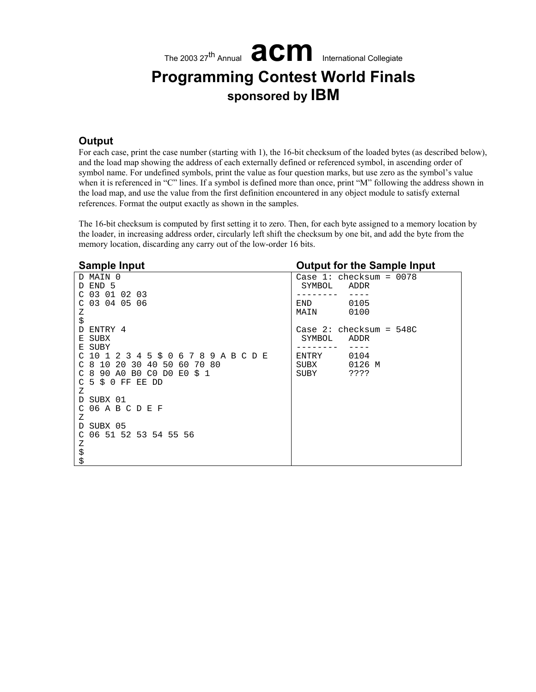The 2003 27<sup>th</sup> Annual **accom** International Collegiate

## **Programming Contest World Finals sponsored by IBM**

### **Output**

For each case, print the case number (starting with 1), the 16-bit checksum of the loaded bytes (as described below), and the load map showing the address of each externally defined or referenced symbol, in ascending order of symbol name. For undefined symbols, print the value as four question marks, but use zero as the symbol's value when it is referenced in "C" lines. If a symbol is defined more than once, print "M" following the address shown in the load map, and use the value from the first definition encountered in any object module to satisfy external references. Format the output exactly as shown in the samples.

The 16-bit checksum is computed by first setting it to zero. Then, for each byte assigned to a memory location by the loader, in increasing address order, circularly left shift the checksum by one bit, and add the byte from the memory location, discarding any carry out of the low-order 16 bits.

#### **Sample Input Output for the Sample Input**

| D MAIN 0<br>D END 5                 | Case $1:$ checksum = 0078<br>SYMBOL<br>ADDR |
|-------------------------------------|---------------------------------------------|
| $C$ 03 01 02 03                     |                                             |
| $C$ 03 04 05 06                     | 0105<br>END                                 |
| Ζ                                   | 0100<br>MAIN                                |
| \$                                  |                                             |
| D<br>ENTRY 4                        | Case $2:$ checksum = $548C$                 |
| E SUBX                              |                                             |
|                                     | SYMBOL<br>ADDR                              |
| E SUBY                              |                                             |
| 2345\$06789ABCDE<br>$C_10_1$        | 0104<br>ENTRY                               |
| 8 10<br>40 50 60 70 80<br>2030<br>C | 0126 M<br>SUBX                              |
| C 8 90 A0 B0 C0 D0<br>E0 \$ 1       | SUBY<br>????                                |
| $C$ 5 \$ 0 FF EE DD                 |                                             |
| Ζ                                   |                                             |
| D SUBX 01                           |                                             |
| C 06 A B C D E F                    |                                             |
| Ζ                                   |                                             |
| D SUBX 05                           |                                             |
| 06 51 52 53 54 55 56<br>C           |                                             |
| Ζ                                   |                                             |
| \$                                  |                                             |
| \$                                  |                                             |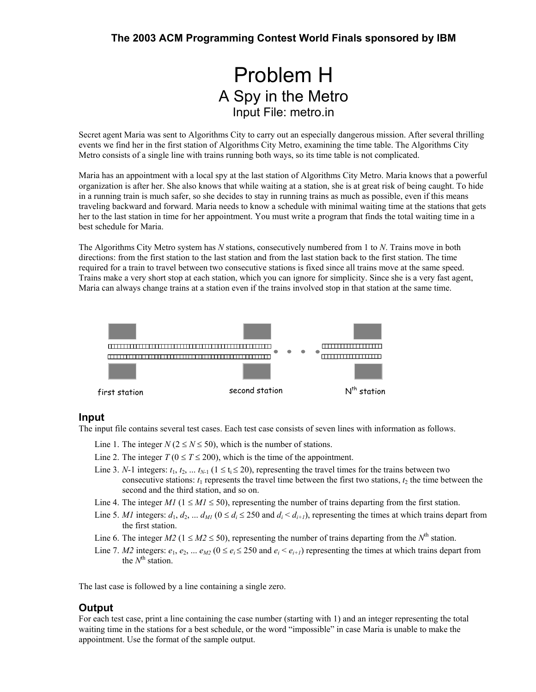# Problem H A Spy in the Metro Input File: metro.in

Secret agent Maria was sent to Algorithms City to carry out an especially dangerous mission. After several thrilling events we find her in the first station of Algorithms City Metro, examining the time table. The Algorithms City Metro consists of a single line with trains running both ways, so its time table is not complicated.

Maria has an appointment with a local spy at the last station of Algorithms City Metro. Maria knows that a powerful organization is after her. She also knows that while waiting at a station, she is at great risk of being caught. To hide in a running train is much safer, so she decides to stay in running trains as much as possible, even if this means traveling backward and forward. Maria needs to know a schedule with minimal waiting time at the stations that gets her to the last station in time for her appointment. You must write a program that finds the total waiting time in a best schedule for Maria.

The Algorithms City Metro system has *N* stations, consecutively numbered from 1 to *N*. Trains move in both directions: from the first station to the last station and from the last station back to the first station. The time required for a train to travel between two consecutive stations is fixed since all trains move at the same speed. Trains make a very short stop at each station, which you can ignore for simplicity. Since she is a very fast agent, Maria can always change trains at a station even if the trains involved stop in that station at the same time.



#### **Input**

The input file contains several test cases. Each test case consists of seven lines with information as follows.

- Line 1. The integer  $N$  ( $2 \le N \le 50$ ), which is the number of stations.
- Line 2. The integer  $T (0 \le T \le 200)$ , which is the time of the appointment.
- Line 3. *N*-1 integers:  $t_1, t_2, \ldots t_{N-1}$  ( $1 \le t_i \le 20$ ), representing the travel times for the trains between two consecutive stations:  $t_1$  represents the travel time between the first two stations,  $t_2$  the time between the second and the third station, and so on.
- Line 4. The integer *M1* ( $1 \leq M1 \leq 50$ ), representing the number of trains departing from the first station.
- Line 5. *M1* integers:  $d_1, d_2, \ldots, d_M$  ( $0 \leq d_i \leq 250$  and  $d_i \leq d_{i+1}$ ), representing the times at which trains depart from the first station.
- Line 6. The integer *M2* ( $1 \le M2 \le 50$ ), representing the number of trains departing from the  $N^{\text{th}}$  station.
- Line 7. *M2* integers:  $e_1, e_2, ... e_{M2}$  ( $0 \le e_i \le 250$  and  $e_i \le e_{i+1}$ ) representing the times at which trains depart from the  $N^{\text{th}}$  station.

The last case is followed by a line containing a single zero.

### **Output**

For each test case, print a line containing the case number (starting with 1) and an integer representing the total waiting time in the stations for a best schedule, or the word "impossible" in case Maria is unable to make the appointment. Use the format of the sample output.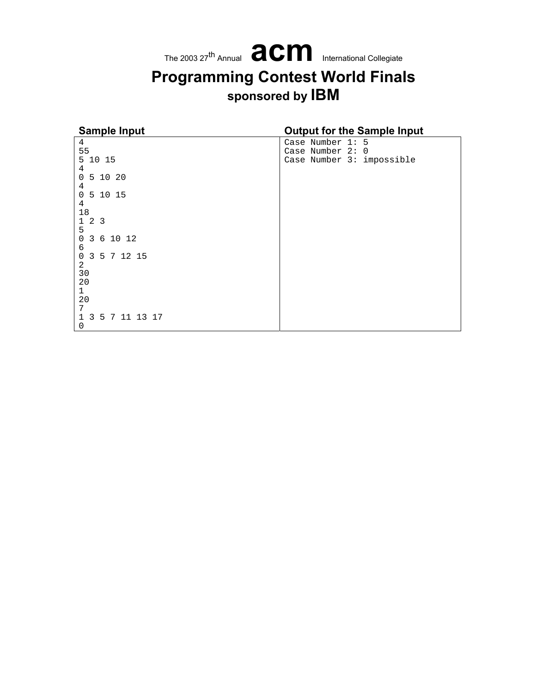

# **Programming Contest World Finals sponsored by IBM**

| <b>Sample Input</b>                      | <b>Output for the Sample Input</b>   |
|------------------------------------------|--------------------------------------|
| 4<br>55                                  | Case Number 1: 5<br>Case Number 2: 0 |
| 5<br>10 15<br>4                          | Case Number 3: impossible            |
| $\mathsf 0$<br>5 10 20<br>$\overline{4}$ |                                      |
| $\mathbf{0}$<br>5 10 15<br>4             |                                      |
| 18<br>$\mathbf{1}$<br>2 <sub>3</sub>     |                                      |
| 5<br>$\mathsf 0$<br>3 6 10 12            |                                      |
| $\epsilon$<br>3 5 7 12 15<br>$\mathbf 0$ |                                      |
| $\overline{a}$<br>30                     |                                      |
| 20<br>$\mathbf{1}$                       |                                      |
| 20<br>7                                  |                                      |
| 1<br>3 5 7 11 13 17<br>$\mathbf 0$       |                                      |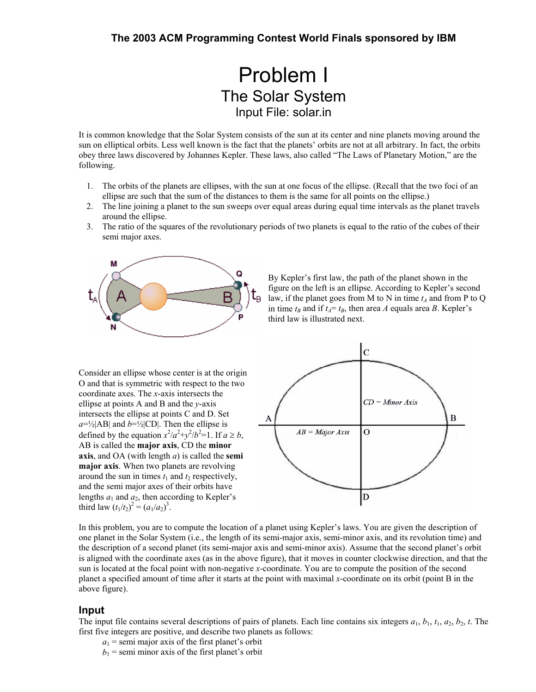## Problem I The Solar System Input File: solar.in

It is common knowledge that the Solar System consists of the sun at its center and nine planets moving around the sun on elliptical orbits. Less well known is the fact that the planets' orbits are not at all arbitrary. In fact, the orbits obey three laws discovered by Johannes Kepler. These laws, also called "The Laws of Planetary Motion," are the following.

- 1. The orbits of the planets are ellipses, with the sun at one focus of the ellipse. (Recall that the two foci of an ellipse are such that the sum of the distances to them is the same for all points on the ellipse.)
- 2. The line joining a planet to the sun sweeps over equal areas during equal time intervals as the planet travels around the ellipse.
- 3. The ratio of the squares of the revolutionary periods of two planets is equal to the ratio of the cubes of their semi major axes.



By Kepler's first law, the path of the planet shown in the figure on the left is an ellipse. According to Kepler's second law, if the planet goes from M to N in time  $t_A$  and from P to Q in time  $t_B$  and if  $t_A = t_B$ , then area *A* equals area *B*. Kepler's third law is illustrated next.

Consider an ellipse whose center is at the origin O and that is symmetric with respect to the two coordinate axes. The *x*-axis intersects the ellipse at points A and B and the *y*-axis intersects the ellipse at points C and D. Set  $a=\frac{1}{2}|\text{AB}|$  and  $b=\frac{1}{2}|\text{CD}|$ . Then the ellipse is defined by the equation  $x^2/a^2+y^2/b^2=1$ . If  $a \ge b$ , AB is called the **major axis**, CD the **minor axis**, and OA (with length *a*) is called the **semi major axis**. When two planets are revolving around the sun in times  $t_1$  and  $t_2$  respectively, and the semi major axes of their orbits have lengths  $a_1$  and  $a_2$ , then according to Kepler's third law  $(t_1/t_2)^2 = (a_1/a_2)^3$ .



In this problem, you are to compute the location of a planet using Kepler's laws. You are given the description of one planet in the Solar System (i.e., the length of its semi-major axis, semi-minor axis, and its revolution time) and the description of a second planet (its semi-major axis and semi-minor axis). Assume that the second planet's orbit is aligned with the coordinate axes (as in the above figure), that it moves in counter clockwise direction, and that the sun is located at the focal point with non-negative *x*-coordinate. You are to compute the position of the second planet a specified amount of time after it starts at the point with maximal *x*-coordinate on its orbit (point B in the above figure).

#### **Input**

The input file contains several descriptions of pairs of planets. Each line contains six integers  $a_1, b_1, t_1, a_2, b_2, t$ . The first five integers are positive, and describe two planets as follows:

- $a_1$  = semi major axis of the first planet's orbit
- $b_1$  = semi minor axis of the first planet's orbit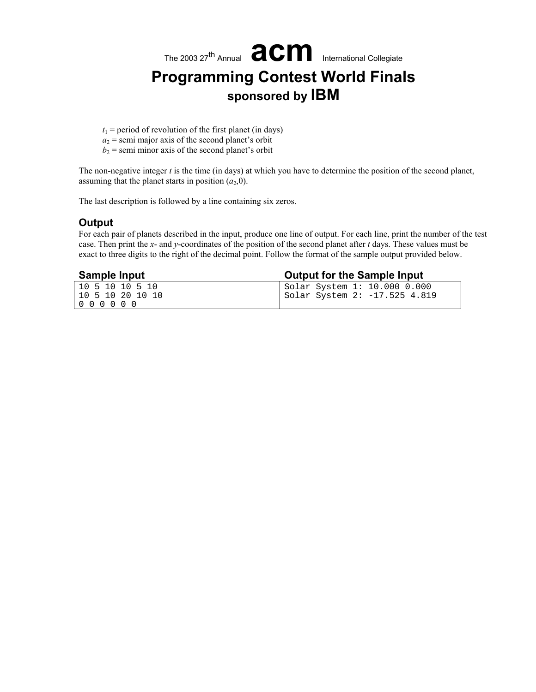The 2003 27<sup>th</sup> Annual **accom** International Collegiate

## **Programming Contest World Finals sponsored by IBM**

 $t_1$  = period of revolution of the first planet (in days)

 $a_2$  = semi major axis of the second planet's orbit

 $b_2$  = semi minor axis of the second planet's orbit

The non-negative integer  $t$  is the time (in days) at which you have to determine the position of the second planet, assuming that the planet starts in position  $(a_2,0)$ .

The last description is followed by a line containing six zeros.

### **Output**

For each pair of planets described in the input, produce one line of output. For each line, print the number of the test case. Then print the *x*- and *y*-coordinates of the position of the second planet after *t* days. These values must be exact to three digits to the right of the decimal point. Follow the format of the sample output provided below.

**Sample Input Output for the Sample Input**

|                  | __________________            |
|------------------|-------------------------------|
| 10 5 10 10 5 10  | Solar System 1: 10.000 0.000  |
| 10 5 10 20 10 10 | Solar System 2: -17.525 4.819 |
| 000000           |                               |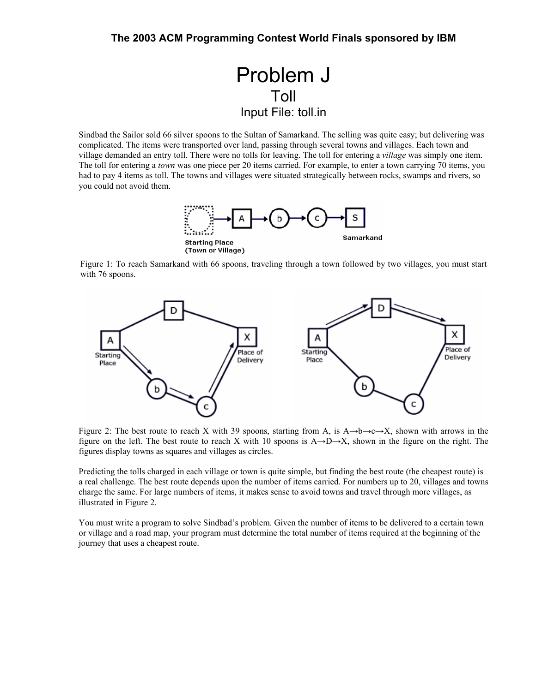

Sindbad the Sailor sold 66 silver spoons to the Sultan of Samarkand. The selling was quite easy; but delivering was complicated. The items were transported over land, passing through several towns and villages. Each town and village demanded an entry toll. There were no tolls for leaving. The toll for entering a *village* was simply one item. The toll for entering a *town* was one piece per 20 items carried. For example, to enter a town carrying 70 items, you had to pay 4 items as toll. The towns and villages were situated strategically between rocks, swamps and rivers, so you could not avoid them.



Figure 1: To reach Samarkand with 66 spoons, traveling through a town followed by two villages, you must start with 76 spoons.



Figure 2: The best route to reach X with 39 spoons, starting from A, is  $A \rightarrow b \rightarrow c \rightarrow X$ , shown with arrows in the figure on the left. The best route to reach X with 10 spoons is  $A\rightarrow D\rightarrow X$ , shown in the figure on the right. The figures display towns as squares and villages as circles.

Predicting the tolls charged in each village or town is quite simple, but finding the best route (the cheapest route) is a real challenge. The best route depends upon the number of items carried. For numbers up to 20, villages and towns charge the same. For large numbers of items, it makes sense to avoid towns and travel through more villages, as illustrated in Figure 2.

You must write a program to solve Sindbad's problem. Given the number of items to be delivered to a certain town or village and a road map, your program must determine the total number of items required at the beginning of the journey that uses a cheapest route.